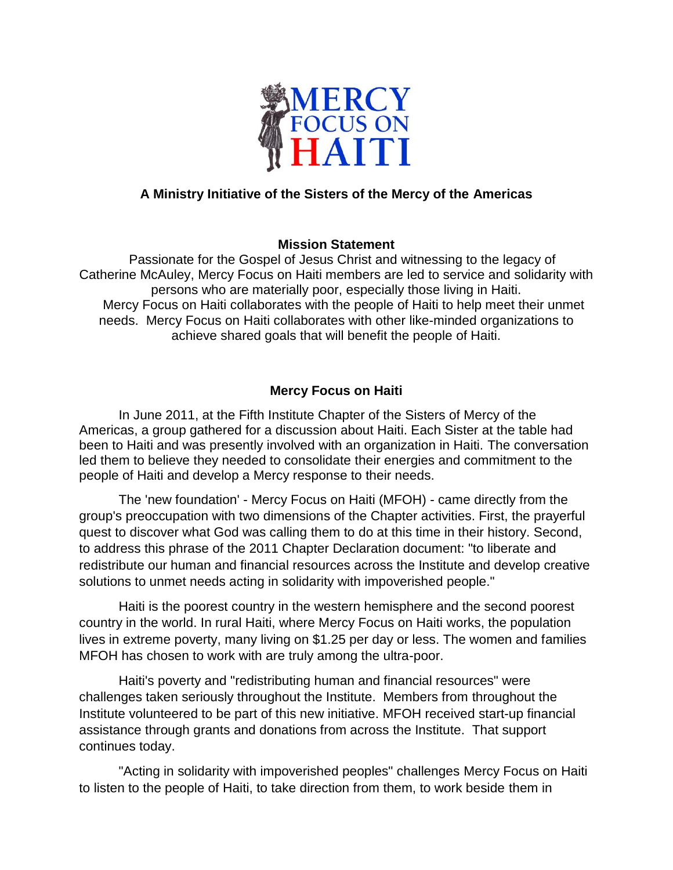

## **A Ministry Initiative of the Sisters of the Mercy of the Americas**

## **Mission Statement**

 Passionate for the Gospel of Jesus Christ and witnessing to the legacy of Catherine McAuley, Mercy Focus on Haiti members are led to service and solidarity with persons who are materially poor, especially those living in Haiti. Mercy Focus on Haiti collaborates with the people of Haiti to help meet their unmet needs. Mercy Focus on Haiti collaborates with other like-minded organizations to achieve shared goals that will benefit the people of Haiti.

## **Mercy Focus on Haiti**

In June 2011, at the Fifth Institute Chapter of the Sisters of Mercy of the Americas, a group gathered for a discussion about Haiti. Each Sister at the table had been to Haiti and was presently involved with an organization in Haiti. The conversation led them to believe they needed to consolidate their energies and commitment to the people of Haiti and develop a Mercy response to their needs.

The 'new foundation' - Mercy Focus on Haiti (MFOH) - came directly from the group's preoccupation with two dimensions of the Chapter activities. First, the prayerful quest to discover what God was calling them to do at this time in their history. Second, to address this phrase of the 2011 Chapter Declaration document: "to liberate and redistribute our human and financial resources across the Institute and develop creative solutions to unmet needs acting in solidarity with impoverished people."

Haiti is the poorest country in the western hemisphere and the second poorest country in the world. In rural Haiti, where Mercy Focus on Haiti works, the population lives in extreme poverty, many living on \$1.25 per day or less. The women and families MFOH has chosen to work with are truly among the ultra-poor.

Haiti's poverty and "redistributing human and financial resources" were challenges taken seriously throughout the Institute. Members from throughout the Institute volunteered to be part of this new initiative. MFOH received start-up financial assistance through grants and donations from across the Institute. That support continues today.

"Acting in solidarity with impoverished peoples" challenges Mercy Focus on Haiti to listen to the people of Haiti, to take direction from them, to work beside them in